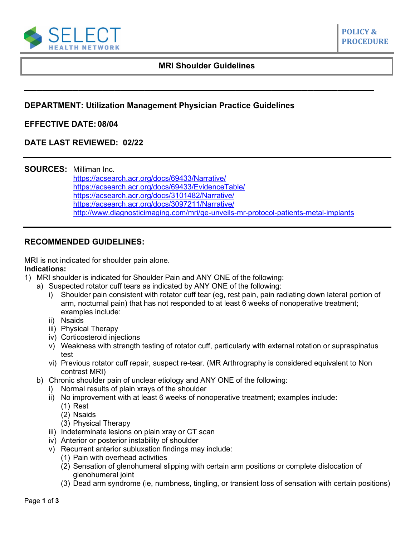

### **MRI Shoulder Guidelines**

**POLICY & PROCEDURE**

# **DEPARTMENT: Utilization Management Physician Practice Guidelines**

## **EFFECTIVE DATE: 08/04**

## **DATE LAST REVIEWED: 02/22**

### **SOURCES:** Milliman Inc.

<https://acsearch.acr.org/docs/69433/Narrative/> [https://acsearch.acr.org/docs/69433/EvidenceTable/](https://acsearch.acr.org/list/GetEvidence?TopicId=91&TopicName=Shoulder%20Pain-Traumatic) <https://acsearch.acr.org/docs/3101482/Narrative/> https://acsearch.acr.org/docs/3097211/Narrative/ <http://www.diagnosticimaging.com/mri/ge-unveils-mr-protocol-patients-metal-implants>

## **RECOMMENDED GUIDELINES:**

MRI is not indicated for shoulder pain alone.

### **Indications:**

- 1) MRI shoulder is indicated for Shoulder Pain and ANY ONE of the following:
	- a) Suspected rotator cuff tears as indicated by ANY ONE of the following:
		- i) Shoulder pain consistent with rotator cuff tear (eg, rest pain, pain radiating down lateral portion of arm, nocturnal pain) that has not responded to at least 6 weeks of nonoperative treatment; examples include:
		- ii) Nsaids
		- iii) Physical Therapy
		- iv) Corticosteroid injections
		- v) Weakness with strength testing of rotator cuff, particularly with external rotation or supraspinatus test
		- vi) Previous rotator cuff repair, suspect re-tear. (MR Arthrography is considered equivalent to Non contrast MRI)
	- b) Chronic shoulder pain of unclear etiology and ANY ONE of the following:
		- i) Normal results of plain xrays of the shoulder
		- ii) No improvement with at least 6 weeks of nonoperative treatment; examples include:
			- (1) Rest
			- (2) Nsaids
			- (3) Physical Therapy
		- iii) Indeterminate lesions on plain xray or CT scan
		- iv) Anterior or posterior instability of shoulder
		- v) Recurrent anterior subluxation findings may include:
			- (1) Pain with overhead activities
			- (2) Sensation of glenohumeral slipping with certain arm positions or complete dislocation of glenohumeral joint
			- (3) Dead arm syndrome (ie, numbness, tingling, or transient loss of sensation with certain positions)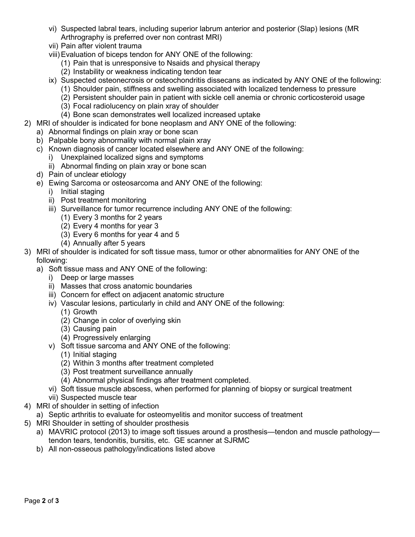- vi) Suspected labral tears, including superior labrum anterior and posterior (Slap) lesions (MR Arthrography is preferred over non contrast MRI)
- vii) Pain after violent trauma
- viii)Evaluation of biceps tendon for ANY ONE of the following:
	- (1) Pain that is unresponsive to Nsaids and physical therapy
	- (2) Instability or weakness indicating tendon tear
- ix) Suspected osteonecrosis or osteochondritis dissecans as indicated by ANY ONE of the following:
	- (1) Shoulder pain, stiffness and swelling associated with localized tenderness to pressure
	- (2) Persistent shoulder pain in patient with sickle cell anemia or chronic corticosteroid usage
	- (3) Focal radiolucency on plain xray of shoulder
	- (4) Bone scan demonstrates well localized increased uptake
- 2) MRI of shoulder is indicated for bone neoplasm and ANY ONE of the following:
	- a) Abnormal findings on plain xray or bone scan
	- b) Palpable bony abnormality with normal plain xray
	- c) Known diagnosis of cancer located elsewhere and ANY ONE of the following:
		- i) Unexplained localized signs and symptoms
		- ii) Abnormal finding on plain xray or bone scan
	- d) Pain of unclear etiology
	- e) Ewing Sarcoma or osteosarcoma and ANY ONE of the following:
		- i) Initial staging
		- ii) Post treatment monitoring
		- iii) Surveillance for tumor recurrence including ANY ONE of the following:
			- (1) Every 3 months for 2 years
			- (2) Every 4 months for year 3
			- (3) Every 6 months for year 4 and 5
			- (4) Annually after 5 years
- 3) MRI of shoulder is indicated for soft tissue mass, tumor or other abnormalities for ANY ONE of the following:
	- a) Soft tissue mass and ANY ONE of the following:
		- i) Deep or large masses
		- ii) Masses that cross anatomic boundaries
		- iii) Concern for effect on adjacent anatomic structure
		- iv) Vascular lesions, particularly in child and ANY ONE of the following:
			- (1) Growth
			- (2) Change in color of overlying skin
			- (3) Causing pain
			- (4) Progressively enlarging
		- v) Soft tissue sarcoma and ANY ONE of the following:
			- (1) Initial staging
			- (2) Within 3 months after treatment completed
			- (3) Post treatment surveillance annually
			- (4) Abnormal physical findings after treatment completed.
		- vi) Soft tissue muscle abscess, when performed for planning of biopsy or surgical treatment
		- vii) Suspected muscle tear
- 4) MRI of shoulder in setting of infection
	- a) Septic arthritis to evaluate for osteomyelitis and monitor success of treatment
- 5) MRI Shoulder in setting of shoulder prosthesis
	- a) MAVRIC protocol (2013) to image soft tissues around a prosthesis—tendon and muscle pathology tendon tears, tendonitis, bursitis, etc. GE scanner at SJRMC
		- b) All non-osseous pathology/indications listed above